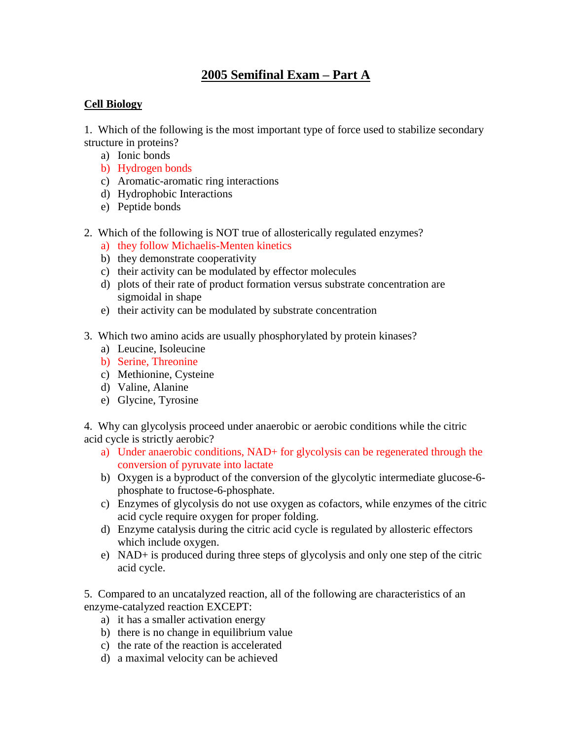# **2005 Semifinal Exam – Part A**

# **Cell Biology**

1. Which of the following is the most important type of force used to stabilize secondary structure in proteins?

- a) Ionic bonds
- b) Hydrogen bonds
- c) Aromatic-aromatic ring interactions
- d) Hydrophobic Interactions
- e) Peptide bonds
- 2. Which of the following is NOT true of allosterically regulated enzymes?
	- a) they follow Michaelis-Menten kinetics
	- b) they demonstrate cooperativity
	- c) their activity can be modulated by effector molecules
	- d) plots of their rate of product formation versus substrate concentration are sigmoidal in shape
	- e) their activity can be modulated by substrate concentration
- 3. Which two amino acids are usually phosphorylated by protein kinases?
	- a) Leucine, Isoleucine
	- b) Serine, Threonine
	- c) Methionine, Cysteine
	- d) Valine, Alanine
	- e) Glycine, Tyrosine

4. Why can glycolysis proceed under anaerobic or aerobic conditions while the citric acid cycle is strictly aerobic?

- a) Under anaerobic conditions, NAD+ for glycolysis can be regenerated through the conversion of pyruvate into lactate
- b) Oxygen is a byproduct of the conversion of the glycolytic intermediate glucose-6 phosphate to fructose-6-phosphate.
- c) Enzymes of glycolysis do not use oxygen as cofactors, while enzymes of the citric acid cycle require oxygen for proper folding.
- d) Enzyme catalysis during the citric acid cycle is regulated by allosteric effectors which include oxygen.
- e) NAD+ is produced during three steps of glycolysis and only one step of the citric acid cycle.

5. Compared to an uncatalyzed reaction, all of the following are characteristics of an enzyme-catalyzed reaction EXCEPT:

- a) it has a smaller activation energy
- b) there is no change in equilibrium value
- c) the rate of the reaction is accelerated
- d) a maximal velocity can be achieved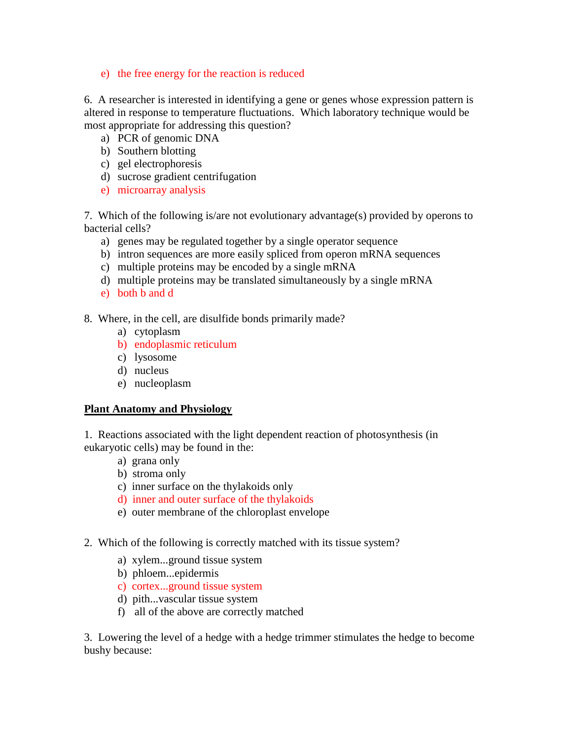e) the free energy for the reaction is reduced

6. A researcher is interested in identifying a gene or genes whose expression pattern is altered in response to temperature fluctuations. Which laboratory technique would be most appropriate for addressing this question?

- a) PCR of genomic DNA
- b) Southern blotting
- c) gel electrophoresis
- d) sucrose gradient centrifugation
- e) microarray analysis

7. Which of the following is/are not evolutionary advantage(s) provided by operons to bacterial cells?

- a) genes may be regulated together by a single operator sequence
- b) intron sequences are more easily spliced from operon mRNA sequences
- c) multiple proteins may be encoded by a single mRNA
- d) multiple proteins may be translated simultaneously by a single mRNA
- e) both b and d
- 8. Where, in the cell, are disulfide bonds primarily made?
	- a) cytoplasm
	- b) endoplasmic reticulum
	- c) lysosome
	- d) nucleus
	- e) nucleoplasm

#### **Plant Anatomy and Physiology**

1. Reactions associated with the light dependent reaction of photosynthesis (in eukaryotic cells) may be found in the:

- a) grana only
- b) stroma only
- c) inner surface on the thylakoids only
- d) inner and outer surface of the thylakoids
- e) outer membrane of the chloroplast envelope
- 2. Which of the following is correctly matched with its tissue system?
	- a) xylem...ground tissue system
	- b) phloem...epidermis
	- c) cortex...ground tissue system
	- d) pith...vascular tissue system
	- f) all of the above are correctly matched

3. Lowering the level of a hedge with a hedge trimmer stimulates the hedge to become bushy because: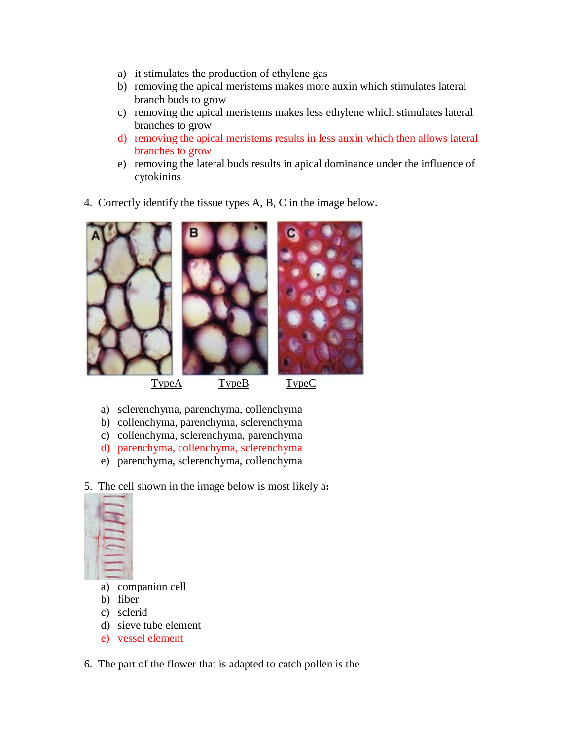- a) it stimulates the production of ethylene gas
- b) removing the apical meristems makes more auxin which stimulates lateral branch buds to grow
- c) removing the apical meristems makes less ethylene which stimulates lateral branches to grow
- d) removing the apical meristems results in less auxin which then allows lateral branches to grow
- e) removing the lateral buds results in apical dominance under the influence of cytokinins
- 4. Correctly identify the tissue types A, B, C in the image below**.**



- a) sclerenchyma, parenchyma, collenchyma
- b) collenchyma, parenchyma, sclerenchyma
- c) collenchyma, sclerenchyma, parenchyma
- d) parenchyma, collenchyma, sclerenchyma
- e) parenchyma, sclerenchyma, collenchyma
- 5. The cell shown in the image below is most likely a**:**



- a) companion cell
- b) fiber
- c) sclerid
- d) sieve tube element
- e) vessel element
- 6. The part of the flower that is adapted to catch pollen is the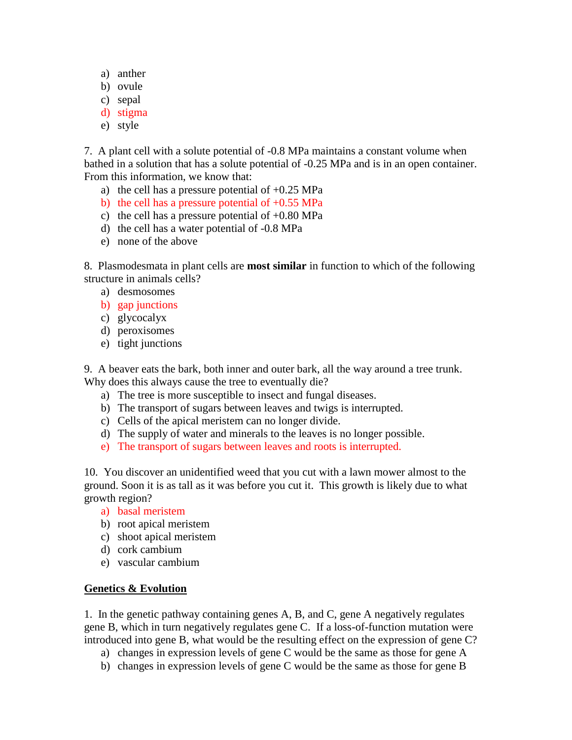- a) anther
- b) ovule
- c) sepal
- d) stigma
- e) style

7. A plant cell with a solute potential of -0.8 MPa maintains a constant volume when bathed in a solution that has a solute potential of -0.25 MPa and is in an open container. From this information, we know that:

- a) the cell has a pressure potential of  $+0.25$  MPa
- b) the cell has a pressure potential of  $+0.55$  MPa
- c) the cell has a pressure potential of  $+0.80$  MPa
- d) the cell has a water potential of -0.8 MPa
- e) none of the above

8. Plasmodesmata in plant cells are **most similar** in function to which of the following structure in animals cells?

- a) desmosomes
- b) gap junctions
- c) glycocalyx
- d) peroxisomes
- e) tight junctions

9. A beaver eats the bark, both inner and outer bark, all the way around a tree trunk. Why does this always cause the tree to eventually die?

- a) The tree is more susceptible to insect and fungal diseases.
- b) The transport of sugars between leaves and twigs is interrupted.
- c) Cells of the apical meristem can no longer divide.
- d) The supply of water and minerals to the leaves is no longer possible.
- e) The transport of sugars between leaves and roots is interrupted.

10. You discover an unidentified weed that you cut with a lawn mower almost to the ground. Soon it is as tall as it was before you cut it. This growth is likely due to what growth region?

- a) basal meristem
- b) root apical meristem
- c) shoot apical meristem
- d) cork cambium
- e) vascular cambium

# **Genetics & Evolution**

1. In the genetic pathway containing genes A, B, and C, gene A negatively regulates gene B, which in turn negatively regulates gene C. If a loss-of-function mutation were introduced into gene B, what would be the resulting effect on the expression of gene C?

- a) changes in expression levels of gene C would be the same as those for gene A
- b) changes in expression levels of gene C would be the same as those for gene B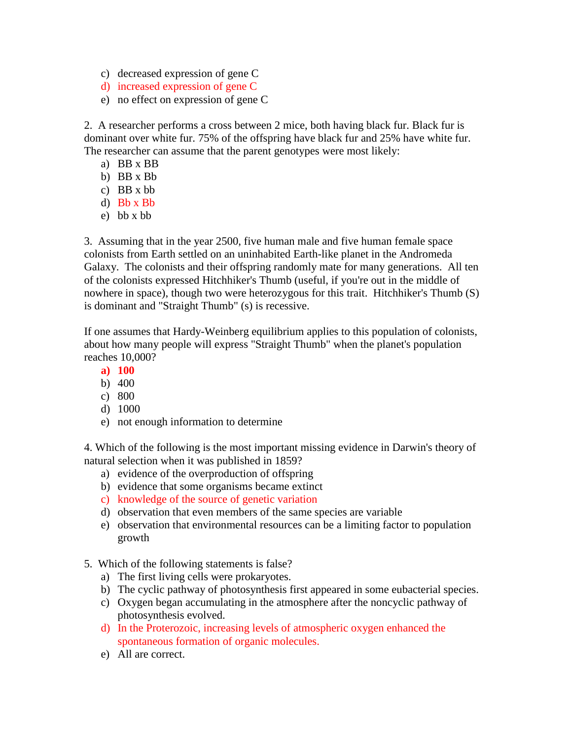- c) decreased expression of gene C
- d) increased expression of gene C
- e) no effect on expression of gene C

2. A researcher performs a cross between 2 mice, both having black fur. Black fur is dominant over white fur. 75% of the offspring have black fur and 25% have white fur. The researcher can assume that the parent genotypes were most likely:

- a) BB x BB
- b) BB x Bb
- c) BB x bb
- d) Bb x Bb
- e) bb x bb

3. Assuming that in the year 2500, five human male and five human female space colonists from Earth settled on an uninhabited Earth-like planet in the Andromeda Galaxy. The colonists and their offspring randomly mate for many generations. All ten of the colonists expressed Hitchhiker's Thumb (useful, if you're out in the middle of nowhere in space), though two were heterozygous for this trait. Hitchhiker's Thumb (S) is dominant and "Straight Thumb" (s) is recessive.

If one assumes that Hardy-Weinberg equilibrium applies to this population of colonists, about how many people will express "Straight Thumb" when the planet's population reaches 10,000?

- **a) 100**
- b) 400
- c) 800
- d) 1000
- e) not enough information to determine

4. Which of the following is the most important missing evidence in Darwin's theory of natural selection when it was published in 1859?

- a) evidence of the overproduction of offspring
- b) evidence that some organisms became extinct
- c) knowledge of the source of genetic variation
- d) observation that even members of the same species are variable
- e) observation that environmental resources can be a limiting factor to population growth
- 5. Which of the following statements is false?
	- a) The first living cells were prokaryotes.
	- b) The cyclic pathway of photosynthesis first appeared in some eubacterial species.
	- c) Oxygen began accumulating in the atmosphere after the noncyclic pathway of photosynthesis evolved.
	- d) In the Proterozoic, increasing levels of atmospheric oxygen enhanced the spontaneous formation of organic molecules.
	- e) All are correct.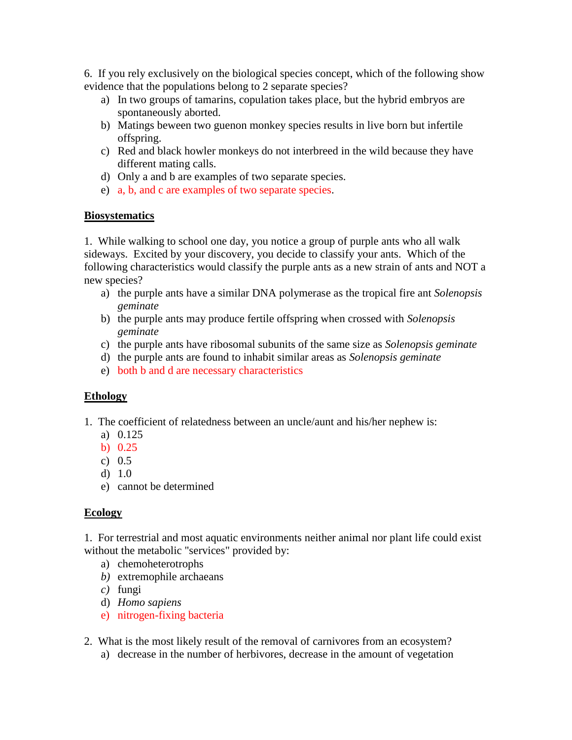6. If you rely exclusively on the biological species concept, which of the following show evidence that the populations belong to 2 separate species?

- a) In two groups of tamarins, copulation takes place, but the hybrid embryos are spontaneously aborted.
- b) Matings beween two guenon monkey species results in live born but infertile offspring.
- c) Red and black howler monkeys do not interbreed in the wild because they have different mating calls.
- d) Only a and b are examples of two separate species.
- e) a, b, and c are examples of two separate species.

#### **Biosystematics**

1. While walking to school one day, you notice a group of purple ants who all walk sideways. Excited by your discovery, you decide to classify your ants. Which of the following characteristics would classify the purple ants as a new strain of ants and NOT a new species?

- a) the purple ants have a similar DNA polymerase as the tropical fire ant *Solenopsis geminate*
- b) the purple ants may produce fertile offspring when crossed with *Solenopsis geminate*
- c) the purple ants have ribosomal subunits of the same size as *Solenopsis geminate*
- d) the purple ants are found to inhabit similar areas as *Solenopsis geminate*
- e) both b and d are necessary characteristics

# **Ethology**

- 1. The coefficient of relatedness between an uncle/aunt and his/her nephew is:
	- a) 0.125
	- b) 0.25
	- c) 0.5
	- d) 1.0
	- e) cannot be determined

# **Ecology**

1. For terrestrial and most aquatic environments neither animal nor plant life could exist without the metabolic "services" provided by:

- a) chemoheterotrophs
- *b)* extremophile archaeans
- *c)* fungi
- d) *Homo sapiens*
- e) nitrogen-fixing bacteria
- 2. What is the most likely result of the removal of carnivores from an ecosystem?
	- a) decrease in the number of herbivores, decrease in the amount of vegetation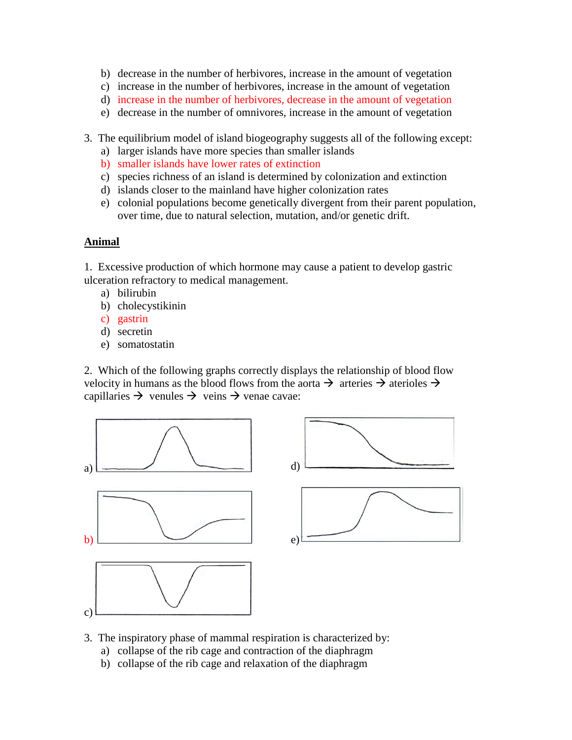- b) decrease in the number of herbivores, increase in the amount of vegetation
- c) increase in the number of herbivores, increase in the amount of vegetation
- d) increase in the number of herbivores, decrease in the amount of vegetation
- e) decrease in the number of omnivores, increase in the amount of vegetation
- 3. The equilibrium model of island biogeography suggests all of the following except:
	- a) larger islands have more species than smaller islands
	- b) smaller islands have lower rates of extinction
	- c) species richness of an island is determined by colonization and extinction
	- d) islands closer to the mainland have higher colonization rates
	- e) colonial populations become genetically divergent from their parent population, over time, due to natural selection, mutation, and/or genetic drift.

#### **Animal**

1. Excessive production of which hormone may cause a patient to develop gastric ulceration refractory to medical management.

- a) bilirubin
- b) cholecystikinin
- c) gastrin
- d) secretin
- e) somatostatin

2. Which of the following graphs correctly displays the relationship of blood flow velocity in humans as the blood flows from the aorta  $\rightarrow$  arteries  $\rightarrow$  aterioles  $\rightarrow$ capillaries  $\rightarrow$  venules  $\rightarrow$  veins  $\rightarrow$  venae cavae:



- 3. The inspiratory phase of mammal respiration is characterized by:
	- a) collapse of the rib cage and contraction of the diaphragm
	- b) collapse of the rib cage and relaxation of the diaphragm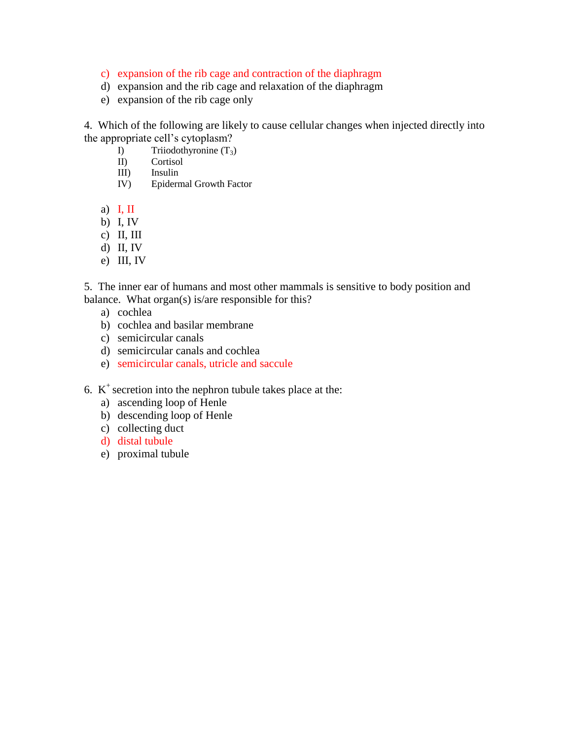- c) expansion of the rib cage and contraction of the diaphragm
- d) expansion and the rib cage and relaxation of the diaphragm
- e) expansion of the rib cage only

4. Which of the following are likely to cause cellular changes when injected directly into the appropriate cell's cytoplasm?

- I) Triiodothyronine  $(T_3)$ <br>II) Cortisol
- Cortisol
- III) Insulin
- IV) Epidermal Growth Factor
- a)  $I, II$
- b) I, IV
- c) II, III
- d) II, IV
- e) III, IV

5. The inner ear of humans and most other mammals is sensitive to body position and balance. What organ(s) is/are responsible for this?

- a) cochlea
- b) cochlea and basilar membrane
- c) semicircular canals
- d) semicircular canals and cochlea
- e) semicircular canals, utricle and saccule
- 6.  $K^+$  secretion into the nephron tubule takes place at the:
	- a) ascending loop of Henle
	- b) descending loop of Henle
	- c) collecting duct
	- d) distal tubule
	- e) proximal tubule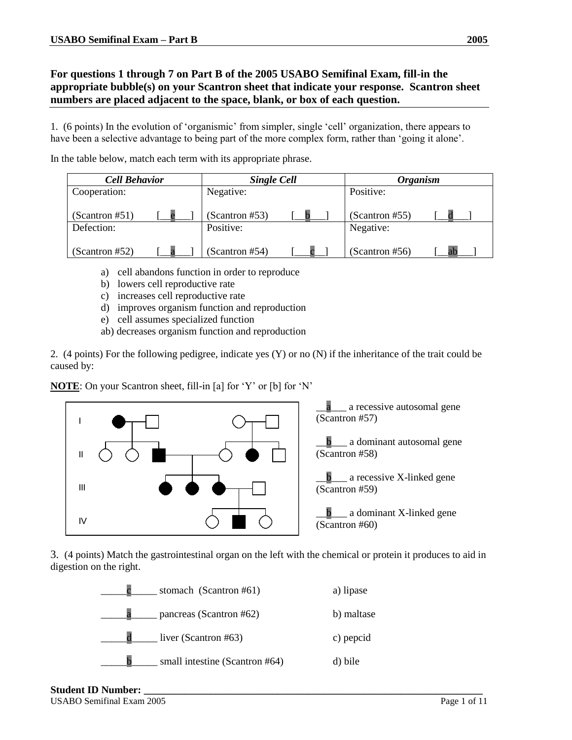# **For questions 1 through 7 on Part B of the 2005 USABO Semifinal Exam, fill-in the appropriate bubble(s) on your Scantron sheet that indicate your response. Scantron sheet numbers are placed adjacent to the space, blank, or box of each question.**

1. (6 points) In the evolution of 'organismic' from simpler, single 'cell' organization, there appears to have been a selective advantage to being part of the more complex form, rather than 'going it alone'.

In the table below, match each term with its appropriate phrase.

| <b>Cell Behavior</b> |  |                | <b>Single Cell</b> |                | <b>Organism</b> |  |
|----------------------|--|----------------|--------------------|----------------|-----------------|--|
| Cooperation:         |  | Negative:      |                    | Positive:      |                 |  |
| (Scantron #51)       |  | (Scantron #53) |                    | (Scantron #55) |                 |  |
| Defection:           |  | Positive:      |                    | Negative:      |                 |  |
| (Scantron #52)       |  | (Scantron #54) |                    | (Scantron #56) |                 |  |

- a) cell abandons function in order to reproduce
- b) lowers cell reproductive rate
- c) increases cell reproductive rate
- d) improves organism function and reproduction
- e) cell assumes specialized function
- ab) decreases organism function and reproduction

2. (4 points) For the following pedigree, indicate yes (Y) or no (N) if the inheritance of the trait could be caused by:

**NOTE**: On your Scantron sheet, fill-in [a] for 'Y' or [b] for 'N'



3. (4 points) Match the gastrointestinal organ on the left with the chemical or protein it produces to aid in digestion on the right.



Student **ID** Number: USABO Semifinal Exam 2005 Page 1 of 11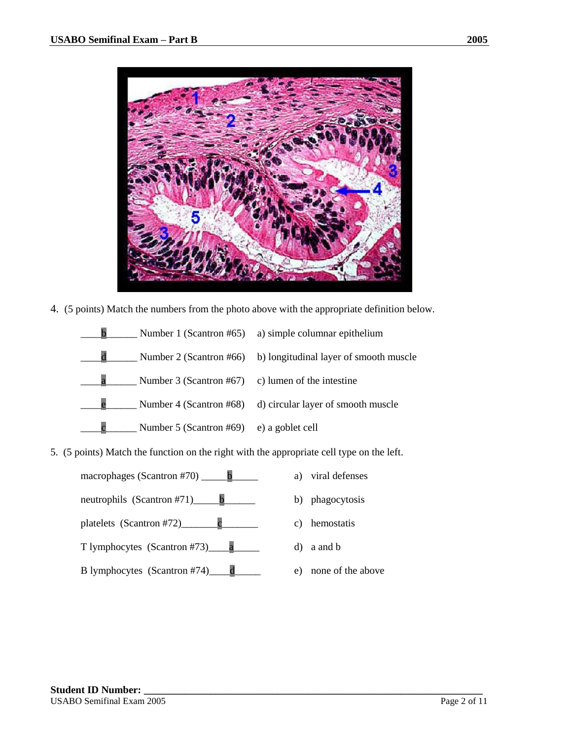

4. (5 points) Match the numbers from the photo above with the appropriate definition below.



5. (5 points) Match the function on the right with the appropriate cell type on the left.

macrophages (Scantron #70)  $\qquad b$ neutrophils (Scantron #71)\_\_\_\_\_b\_\_\_\_\_\_

platelets  $(Scantron #72)$  c

T lymphocytes (Scantron #73)\_\_\_\_a\_\_\_\_\_

B lymphocytes (Scantron #74) d

- a) viral defenses
- b) phagocytosis
- c) hemostatis
- d) a and b
- e) none of the above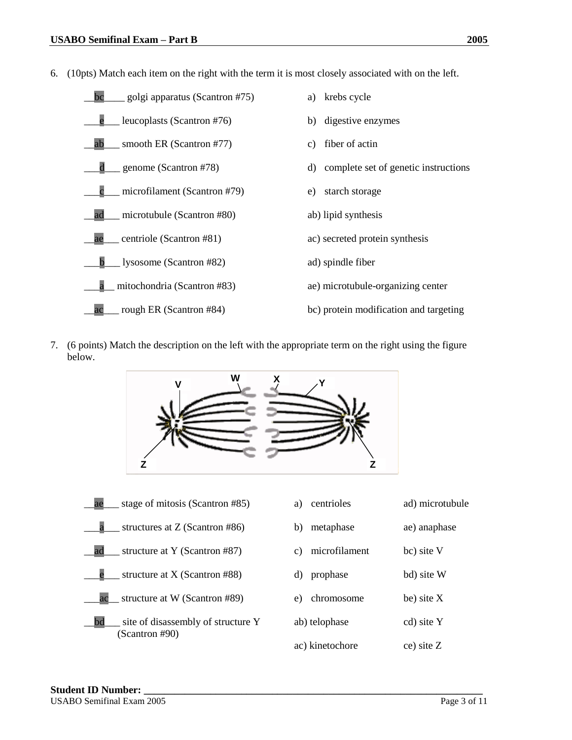6. (10pts) Match each item on the right with the term it is most closely associated with on the left.



7. (6 points) Match the description on the left with the appropriate term on the right using the figure below.



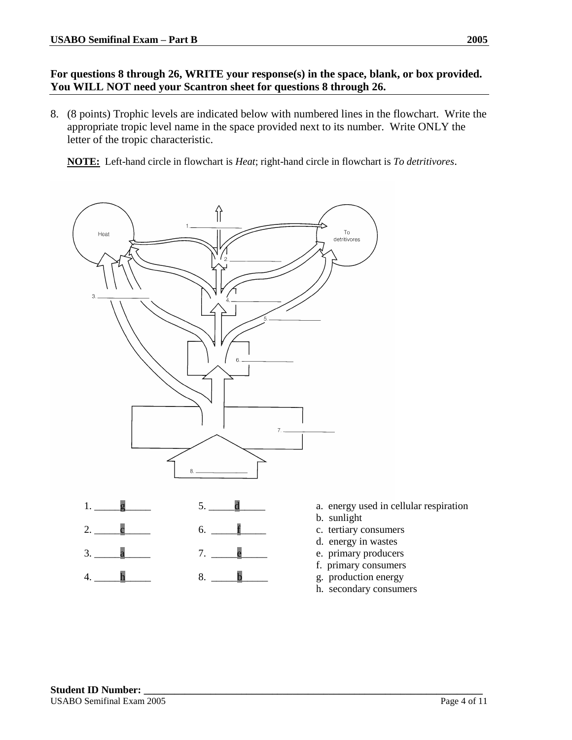#### **For questions 8 through 26, WRITE your response(s) in the space, blank, or box provided. You WILL NOT need your Scantron sheet for questions 8 through 26.**

8. (8 points) Trophic levels are indicated below with numbered lines in the flowchart. Write the appropriate tropic level name in the space provided next to its number. Write ONLY the letter of the tropic characteristic.

**NOTE:** Left-hand circle in flowchart is *Heat*; right-hand circle in flowchart is *To detritivores*.



- d. energy in wastes
- e. primary producers
- f. primary consumers
- g. production energy
- h. secondary consumers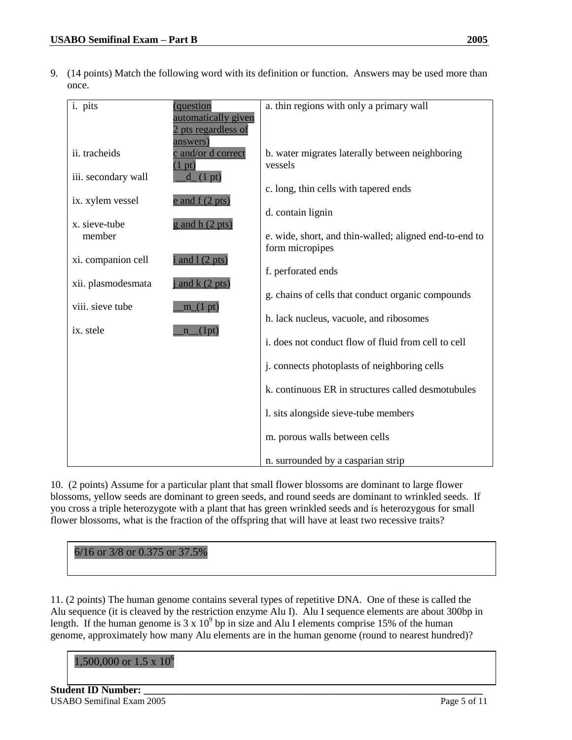9. (14 points) Match the following word with its definition or function. Answers may be used more than once.

| i. pits             | (question                                  | a. thin regions with only a primary wall               |
|---------------------|--------------------------------------------|--------------------------------------------------------|
|                     | automatically given<br>2 pts regardless of |                                                        |
|                     | answers)                                   |                                                        |
| ii. tracheids       | c and/or d correct                         | b. water migrates laterally between neighboring        |
| iii. secondary wall | pt)<br>$d_{1}(1 pt)$                       | vessels                                                |
|                     |                                            | c. long, thin cells with tapered ends                  |
| ix. xylem vessel    | $e$ and $f(2$ pts)                         |                                                        |
| x. sieve-tube       | $g$ and h $(2 \text{ pts})$                | d. contain lignin                                      |
| member              |                                            | e. wide, short, and thin-walled; aligned end-to-end to |
|                     |                                            | form micropipes                                        |
| xi. companion cell  | $i$ and $l$ (2 pts)                        |                                                        |
| xii. plasmodesmata  | $j$ and $k$ (2 pts)                        | f. perforated ends                                     |
|                     |                                            | g. chains of cells that conduct organic compounds      |
| viii. sieve tube    | m(1 pt)                                    |                                                        |
| ix. stele           | $n_{1}$ (1pt)                              | h. lack nucleus, vacuole, and ribosomes                |
|                     |                                            | i. does not conduct flow of fluid from cell to cell    |
|                     |                                            |                                                        |
|                     |                                            | j. connects photoplasts of neighboring cells           |
|                     |                                            | k. continuous ER in structures called desmotubules     |
|                     |                                            | 1. sits alongside sieve-tube members                   |
|                     |                                            |                                                        |
|                     |                                            | m. porous walls between cells                          |
|                     |                                            | n. surrounded by a casparian strip                     |

10. (2 points) Assume for a particular plant that small flower blossoms are dominant to large flower blossoms, yellow seeds are dominant to green seeds, and round seeds are dominant to wrinkled seeds. If you cross a triple heterozygote with a plant that has green wrinkled seeds and is heterozygous for small flower blossoms, what is the fraction of the offspring that will have at least two recessive traits?

| 6/16 or 3/8 or 0.375 or 37.5% |  |
|-------------------------------|--|
|-------------------------------|--|

11. (2 points) The human genome contains several types of repetitive DNA. One of these is called the Alu sequence (it is cleaved by the restriction enzyme Alu I). Alu I sequence elements are about 300bp in length. If the human genome is  $3 \times 10^9$  bp in size and Alu I elements comprise 15% of the human genome, approximately how many Alu elements are in the human genome (round to nearest hundred)?

#### 1,500,000 or 1.5 x  $10^6$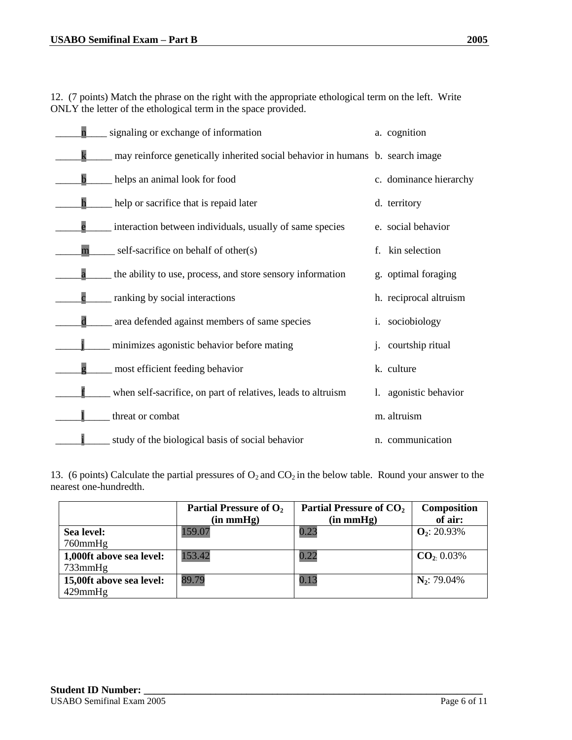12. (7 points) Match the phrase on the right with the appropriate ethological term on the left. Write ONLY the letter of the ethological term in the space provided.

|                         | signaling or exchange of information                                          |    | a. cognition           |
|-------------------------|-------------------------------------------------------------------------------|----|------------------------|
|                         | may reinforce genetically inherited social behavior in humans b. search image |    |                        |
|                         | helps an animal look for food                                                 |    | c. dominance hierarchy |
|                         | help or sacrifice that is repaid later                                        |    | d. territory           |
|                         | interaction between individuals, usually of same species                      |    | e. social behavior     |
| m                       | self-sacrifice on behalf of other(s)                                          | f. | kin selection          |
| $\overline{\textbf{a}}$ | the ability to use, process, and store sensory information                    |    | g. optimal foraging    |
|                         | ranking by social interactions                                                |    | h. reciprocal altruism |
| $\overline{\text{d}}$   | area defended against members of same species                                 |    | i. sociobiology        |
|                         | minimizes agonistic behavior before mating                                    |    | courtship ritual       |
|                         | most efficient feeding behavior                                               |    | k. culture             |
|                         | when self-sacrifice, on part of relatives, leads to altruism                  | 1. | agonistic behavior     |
|                         | threat or combat                                                              |    | m. altruism            |
|                         | study of the biological basis of social behavior                              |    | n. communication       |

13. (6 points) Calculate the partial pressures of  $O_2$  and  $CO_2$  in the below table. Round your answer to the nearest one-hundredth.

|                          | Partial Pressure of O <sub>2</sub><br>(in mmHg) | Partial Pressure of CO <sub>2</sub><br>(in mmHg) | Composition<br>of air:  |
|--------------------------|-------------------------------------------------|--------------------------------------------------|-------------------------|
| Sea level:               | 159.07                                          | 0.23                                             | $\mathbf{O}_2$ : 20.93% |
| $760$ mm $Hg$            |                                                 |                                                  |                         |
| 1,000ft above sea level: | 153.42                                          | 0.22                                             | $CO2 0.03\%$            |
| $733$ mm $Hg$            |                                                 |                                                  |                         |
| 15,00ft above sea level: | 89.79                                           | 0.13                                             | $N_2$ : 79.04%          |
| $429$ mm $Hg$            |                                                 |                                                  |                         |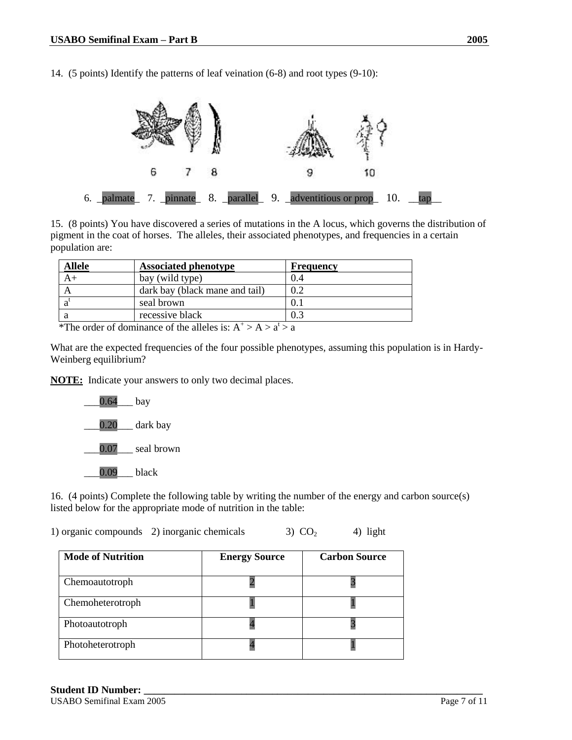14. (5 points) Identify the patterns of leaf veination (6-8) and root types (9-10):



15. (8 points) You have discovered a series of mutations in the A locus, which governs the distribution of pigment in the coat of horses. The alleles, their associated phenotypes, and frequencies in a certain population are:

| <b>Allele</b> | <b>Associated phenotype</b>    | <b>Frequency</b> |
|---------------|--------------------------------|------------------|
|               | bay (wild type)                | 0.4              |
|               | dark bay (black mane and tail) | 0.2              |
| a             | seal brown                     | 0.1              |
| a             | recessive black                | 0.3              |

\*The order of dominance of the alleles is:  $A^+ > A > a^t > a$ 

What are the expected frequencies of the four possible phenotypes, assuming this population is in Hardy-Weinberg equilibrium?

**NOTE:** Indicate your answers to only two decimal places.



16. (4 points) Complete the following table by writing the number of the energy and carbon source(s) listed below for the appropriate mode of nutrition in the table:

1) organic compounds 2) inorganic chemicals  $3)$  CO<sub>2</sub> 4) light

| <b>Mode of Nutrition</b> | <b>Energy Source</b> | <b>Carbon Source</b> |
|--------------------------|----------------------|----------------------|
| Chemoautotroph           |                      |                      |
| Chemoheterotroph         |                      |                      |
| Photoautotroph           |                      |                      |
| Photoheterotroph         |                      |                      |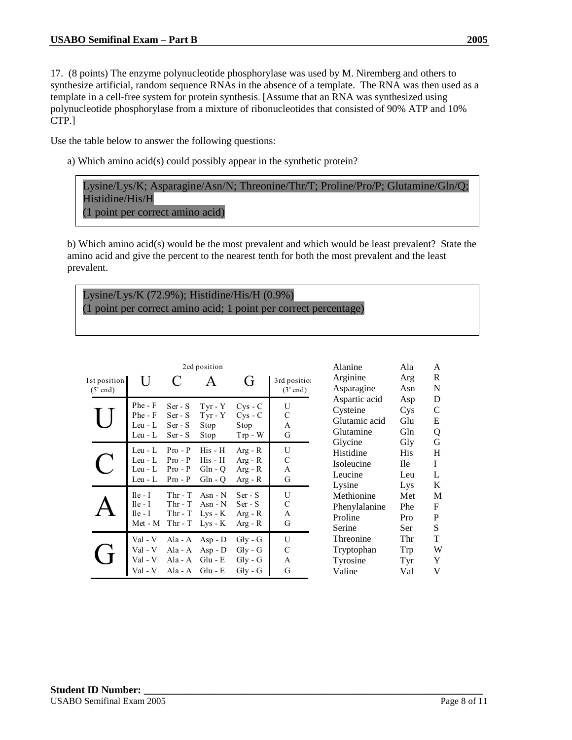17. (8 points) The enzyme polynucleotide phosphorylase was used by M. Niremberg and others to synthesize artificial, random sequence RNAs in the absence of a template. The RNA was then used as a template in a cell-free system for protein synthesis. [Assume that an RNA was synthesized using polynucleotide phosphorylase from a mixture of ribonucleotides that consisted of 90% ATP and 10% CTP.]

Use the table below to answer the following questions:

a) Which amino acid(s) could possibly appear in the synthetic protein?

Lysine/Lys/K; Asparagine/Asn/N; Threonine/Thr/T; Proline/Pro/P; Glutamine/Gln/Q; Histidine/His/H (1 point per correct amino acid)

b) Which amino acid(s) would be the most prevalent and which would be least prevalent? State the amino acid and give the percent to the nearest tenth for both the most prevalent and the least prevalent.

# Lysine/Lys/K (72.9%); Histidine/His/H (0.9%) (1 point per correct amino acid; 1 point per correct percentage)

| 2cd position               |                                                 |                                                  |                                                  |                                                                    |                            |
|----------------------------|-------------------------------------------------|--------------------------------------------------|--------------------------------------------------|--------------------------------------------------------------------|----------------------------|
| 1st position<br>$(5'$ end) | U                                               |                                                  |                                                  | (ì                                                                 | 3rd position<br>$(3'$ end) |
|                            | Phe - F<br>Phe - F<br>Leu - L<br>Leu - L        | Ser - S<br>$Ser-S$<br>$Ser-S$<br>$Ser-S$         | $Tyr - Y$<br>$Tyr - Y$<br>Stop<br>Stop           | $CVS - C$<br>$Cys - C$<br>Stop<br>$Trp - W$                        | U<br>C<br>A<br>G           |
|                            | Leu - L<br>Leu - L<br>Leu - L<br>Leu - L        | $Pro - P$<br>$Pro - P$<br>$Pro - P$<br>$Pro - P$ | His - H<br>His - H<br>$Gln - Q$<br>$Gln - O$     | $Arg - R$<br>$Arg - R$<br>$Arg - R$<br>$Arg - R$                   | U<br>C<br>A<br>G           |
|                            | $I$ le - I<br>$Ile - I$<br>$Ile - I$<br>Met - M | $Thr - T$<br>$Thr - T$<br>$Thr - T$<br>$Thr - T$ | $Asn - N$<br>Asn - $N$<br>$Lys - K$<br>$Lys - K$ | $Ser - S$<br>$Ser - S$<br>$Arg - R$<br>$Arg - R$                   | U<br>C<br>A<br>G           |
|                            | Val - V<br>Val - V                              | Ala - A<br>Ala - A<br>Ala - A<br>Ala - $A$       | $Asp - D$<br>$Asp - D$<br>$Glu - E$<br>$Glu - E$ | Gly - G<br>$Gly - G$<br>$\mathrm{Gly}$ - $\mathrm{G}$<br>$Gly - G$ | U<br>C<br>A<br>G           |

| Alanine       | Ala | A |
|---------------|-----|---|
| Arginine      | Arg | R |
| Asparagine    | Asn | N |
| Aspartic acid | Asp | D |
| Cysteine      | Cys | C |
| Glutamic acid | Glu | E |
| Glutamine     | Gln | Q |
| Glycine       | Gly | G |
| Histidine     | His | H |
| Isoleucine    | Ile | I |
| Leucine       | Leu | L |
| Lysine        | Lys | K |
| Methionine    | Met | M |
| Phenylalanine | Phe | F |
| Proline       | Pro | P |
| Serine        | Ser | S |
| Threonine     | Thr | T |
| Tryptophan    | Trp | W |
| Tyrosine      | Tyr | Y |
| Valine        | Val | V |
|               |     |   |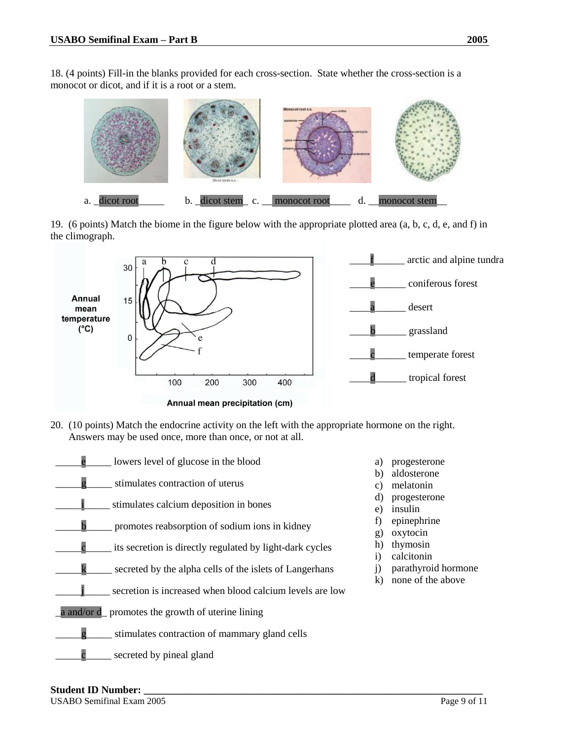18. (4 points) Fill-in the blanks provided for each cross-section. State whether the cross-section is a monocot or dicot, and if it is a root or a stem.



19. (6 points) Match the biome in the figure below with the appropriate plotted area (a, b, c, d, e, and f) in the climograph.



20. (10 points) Match the endocrine activity on the left with the appropriate hormone on the right. Answers may be used once, more than once, or not at all.

| lowers level of glucose in the blood                     | a)                 |
|----------------------------------------------------------|--------------------|
| stimulates contraction of uterus                         | b)<br>c)           |
| stimulates calcium deposition in bones                   | d)<br>e)           |
| promotes reabsorption of sodium ions in kidney           | f)<br>$\mathbf{g}$ |
| its secretion is directly regulated by light-dark cycles | h)<br>$\mathbf{i}$ |
| secreted by the alpha cells of the islets of Langerhans  | j)                 |
| secretion is increased when blood calcium levels are low | k)                 |
| a and/or d_ promotes the growth of uterine lining        |                    |
| stimulates contraction of mammary gland cells            |                    |
| secreted by pineal gland                                 |                    |



- b) aldosterone
- melatonin
- progesterone
- insulin
- epinephrine
- oxytocin
- thymosin
- calcitonin
- parathyroid hormone
- none of the above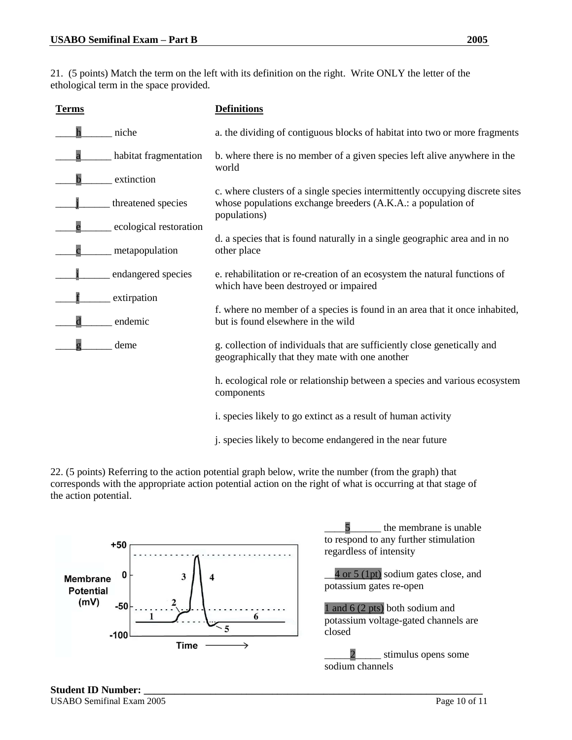21. (5 points) Match the term on the left with its definition on the right. Write ONLY the letter of the ethological term in the space provided.

| <b>Terms</b> |                        | <b>Definitions</b>                                                                                                                                            |
|--------------|------------------------|---------------------------------------------------------------------------------------------------------------------------------------------------------------|
|              | niche                  | a. the dividing of contiguous blocks of habitat into two or more fragments                                                                                    |
|              | habitat fragmentation  | b. where there is no member of a given species left alive anywhere in the<br>world                                                                            |
|              | extinction             |                                                                                                                                                               |
|              | threatened species     | c. where clusters of a single species intermittently occupying discrete sites<br>whose populations exchange breeders (A.K.A.: a population of<br>populations) |
|              | ecological restoration |                                                                                                                                                               |
|              | metapopulation         | d. a species that is found naturally in a single geographic area and in no<br>other place                                                                     |
|              | endangered species     | e. rehabilitation or re-creation of an ecosystem the natural functions of<br>which have been destroyed or impaired                                            |
|              | extirpation            |                                                                                                                                                               |
| $\mathbf d$  | endemic                | f. where no member of a species is found in an area that it once inhabited,<br>but is found elsewhere in the wild                                             |
|              | deme                   | g. collection of individuals that are sufficiently close genetically and<br>geographically that they mate with one another                                    |
|              |                        | h. ecological role or relationship between a species and various ecosystem<br>components                                                                      |
|              |                        | i. species likely to go extinct as a result of human activity                                                                                                 |
|              |                        | j. species likely to become endangered in the near future                                                                                                     |

22. (5 points) Referring to the action potential graph below, write the number (from the graph) that corresponds with the appropriate action potential action on the right of what is occurring at that stage of the action potential.



5 the membrane is unable to respond to any further stimulation regardless of intensity

4 or 5 (1pt) sodium gates close, and potassium gates re-open

1 and 6 (2 pts) both sodium and potassium voltage-gated channels are closed

2 stimulus opens some sodium channels